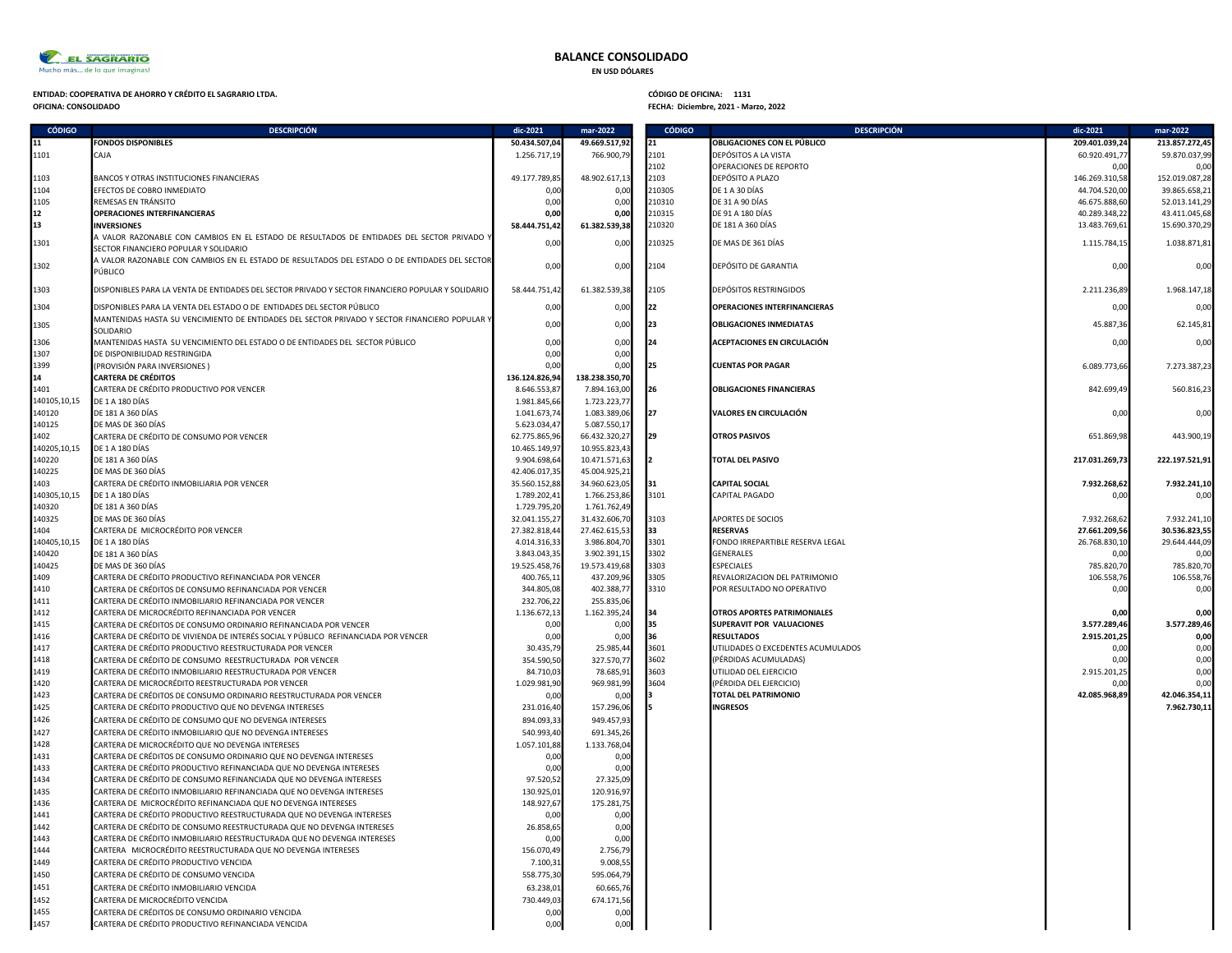

## BALANCE CONSOLIDADO

EN USD DÓLARES

# ENTIDAD: COOPERATIVA DE AHORRO Y CRÉDITO EL SAGRARIO LTDA.<br>OFICINA: CONSOLIDADO DE AHORRO Y CRÉDITO EL SAGRARIO LTDA. CONSERVADO EL SEGUENTE EN EL SEGUENTE DE OFICINA: D<br>OFICINA: CONSOLIDADO DE ALGORALIZADO DE OS ENFIRMADO

| <b>CÓDIGO</b>        | <b>DESCRIPCIÓN</b>                                                                                                                            | dic-2021                       | mar-2022                       | <b>CÓDIGO</b> | <b>DESCRIPCIÓN</b>                             | dic-2021                     | mar-2022       |
|----------------------|-----------------------------------------------------------------------------------------------------------------------------------------------|--------------------------------|--------------------------------|---------------|------------------------------------------------|------------------------------|----------------|
| 11                   | <b>FONDOS DISPONIBLES</b>                                                                                                                     | 50.434.507,04                  | 49.669.517,92                  | 21            | <b>OBLIGACIONES CON EL PÚBLICO</b>             | 209.401.039,24               | 213.857.272,45 |
| 1101                 | CAJA                                                                                                                                          | 1.256.717,19                   | 766.900,79                     | 2101          | DEPÓSITOS A LA VISTA                           | 60.920.491,77                | 59.870.037,99  |
|                      |                                                                                                                                               |                                |                                | 2102          | OPERACIONES DE REPORTO                         | 0.00                         | 0.00           |
| 1103                 | BANCOS Y OTRAS INSTITUCIONES FINANCIERAS                                                                                                      | 49.177.789,85                  | 48.902.617,13                  | 2103          | DEPÓSITO A PLAZO                               | 146.269.310,58               | 152.019.087,28 |
| 1104                 | EFECTOS DE COBRO INMEDIATO                                                                                                                    | 0.0                            | 0.0                            | 210305        | DE 1 A 30 DÍAS                                 | 44.704.520,00                | 39.865.658,21  |
| 1105                 | REMESAS EN TRÁNSITO                                                                                                                           | 0,00                           | 0,00                           | 210310        | DE 31 A 90 DÍAS                                | 46.675.888,60                | 52.013.141,29  |
| 12                   | <b>OPERACIONES INTERFINANCIERAS</b>                                                                                                           | 0.00                           | 0,00                           | 210315        | DE 91 A 180 DÍAS                               | 40.289.348,22                | 43.411.045,68  |
| 13                   | <b>INVERSIONES</b>                                                                                                                            | 58.444.751,42                  | 61.382.539,38                  | 210320        | DE 181 A 360 DÍAS                              | 13.483.769,61                | 15.690.370,29  |
| 1301                 | A VALOR RAZONABLE CON CAMBIOS EN EL ESTADO DE RESULTADOS DE ENTIDADES DEL SECTOR PRIVADO '                                                    | 0,00                           | 0,00                           | 210325        | DE MAS DE 361 DÍAS                             | 1.115.784,15                 | 1.038.871,81   |
|                      | SECTOR FINANCIERO POPULAR Y SOLIDARIO                                                                                                         |                                |                                |               |                                                |                              |                |
| 1302                 | A VALOR RAZONABLE CON CAMBIOS EN EL ESTADO DE RESULTADOS DEL ESTADO O DE ENTIDADES DEL SECTOR<br>PÚBLICO                                      | 0,00                           | 0,00                           | 2104          | DEPÓSITO DE GARANTIA                           | 0,00                         | 0,00           |
|                      |                                                                                                                                               |                                |                                |               |                                                |                              |                |
| 1303                 | DISPONIBLES PARA LA VENTA DE ENTIDADES DEL SECTOR PRIVADO Y SECTOR FINANCIERO POPULAR Y SOLIDARIO                                             | 58.444.751,42                  | 61.382.539,38                  | 2105          | DEPÓSITOS RESTRINGIDOS                         | 2.211.236,89                 | 1.968.147,18   |
| 1304                 | DISPONIBLES PARA LA VENTA DEL ESTADO O DE ENTIDADES DEL SECTOR PÚBLICO                                                                        | 0,00                           | 0,00                           | 22            | <b>OPERACIONES INTERFINANCIERAS</b>            | 0,00                         | 0,00           |
|                      | MANTENIDAS HASTA SU VENCIMIENTO DE ENTIDADES DEL SECTOR PRIVADO Y SECTOR FINANCIERO POPULAR Y                                                 |                                |                                |               |                                                |                              |                |
| 1305                 | SOLIDARIO                                                                                                                                     | 0,00                           | 0,00                           | l23           | <b>OBLIGACIONES INMEDIATAS</b>                 | 45.887,36                    | 62.145,81      |
| 1306                 | MANTENIDAS HASTA SU VENCIMIENTO DEL ESTADO O DE ENTIDADES DEL SECTOR PÚBLICO                                                                  | 0,00                           | 0,00                           | 24            | <b>ACEPTACIONES EN CIRCULACIÓN</b>             | 0,00                         | 0.00           |
| 1307                 | DE DISPONIBILIDAD RESTRINGIDA                                                                                                                 | 0.00                           | 0,00                           |               |                                                |                              |                |
| 1399                 | (PROVISIÓN PARA INVERSIONES)                                                                                                                  | 0.00                           | 0,00                           | <b>125</b>    | <b>CUENTAS POR PAGAR</b>                       | 6.089.773,66                 | 7.273.387,23   |
| 14                   | <b>CARTERA DE CRÉDITOS</b>                                                                                                                    | 136.124.826,94                 | 138.238.350,70                 |               |                                                |                              |                |
| 1401                 | CARTERA DE CRÉDITO PRODUCTIVO POR VENCER                                                                                                      | 8.646.553,87                   | 7.894.163,00                   | <b>126</b>    | <b>OBLIGACIONES FINANCIERAS</b>                | 842.699,49                   | 560.816.23     |
| 140105,10,15         | DE 1 A 180 DÍAS                                                                                                                               | 1.981.845,66                   | 1.723.223,77                   |               |                                                |                              |                |
| 140120               | DE 181 A 360 DÍAS                                                                                                                             | 1.041.673,74                   | 1.083.389,06                   | 127           | VALORES EN CIRCULACIÓN                         | 0,00                         | 0,00           |
| 140125               | DE MAS DE 360 DÍAS                                                                                                                            | 5.623.034,47                   | 5.087.550,17                   | 129           |                                                |                              |                |
| 1402<br>140205,10,15 | CARTERA DE CRÉDITO DE CONSUMO POR VENCER<br>DE 1 A 180 DÍAS                                                                                   | 62.775.865,96<br>10.465.149,97 | 66.432.320,27<br>10.955.823,43 |               | <b>OTROS PASIVOS</b>                           | 651.869,98                   | 443.900,19     |
| 140220               | DE 181 A 360 DÍAS                                                                                                                             | 9.904.698,64                   | 10.471.571,63                  |               | <b>TOTAL DEL PASIVO</b>                        | 217.031.269,73               | 222.197.521,91 |
| 140225               | DE MAS DE 360 DÍAS                                                                                                                            | 42.406.017,35                  | 45.004.925,21                  |               |                                                |                              |                |
| 1403                 | CARTERA DE CRÉDITO INMOBILIARIA POR VENCER                                                                                                    | 35.560.152,88                  | 34.960.623,05                  | 31            | <b>CAPITAL SOCIAL</b>                          | 7.932.268,62                 | 7.932.241,10   |
| 140305,10,15         | DE 1 A 180 DÍAS                                                                                                                               | 1.789.202,41                   | 1.766.253,86                   | 3101          | CAPITAL PAGADO                                 | 0,00                         | 0.00           |
| 140320               | DE 181 A 360 DÍAS                                                                                                                             | 1.729.795,20                   | 1.761.762,49                   |               |                                                |                              |                |
| 140325               | DE MAS DE 360 DÍAS                                                                                                                            | 32.041.155,27                  | 31.432.606,70                  | 3103          | APORTES DE SOCIOS                              | 7.932.268,62                 | 7.932.241,10   |
| 1404                 | CARTERA DE MICROCRÉDITO POR VENCER                                                                                                            | 27.382.818,44                  | 27.462.615,53                  | l33           | <b>RESERVAS</b>                                | 27.661.209,56                | 30.536.823,55  |
| 140405,10,15         | DE 1 A 180 DÍAS                                                                                                                               | 4.014.316,33                   | 3.986.804,70                   | 3301          | FONDO IRREPARTIBLE RESERVA LEGAL               | 26.768.830,10                | 29.644.444,09  |
| 140420               | DE 181 A 360 DÍAS                                                                                                                             | 3.843.043,35                   | 3.902.391,15                   | 3302          | <b>GENERALES</b>                               | 0.00                         | 0.00           |
| 140425               | DE MAS DE 360 DÍAS                                                                                                                            | 19.525.458,76                  | 19.573.419,68                  | 3303          | <b>ESPECIALES</b>                              | 785.820,70                   | 785.820,70     |
| 1409                 | CARTERA DE CRÉDITO PRODUCTIVO REFINANCIADA POR VENCER                                                                                         | 400.765,11                     | 437.209,96                     | 3305          | REVALORIZACION DEL PATRIMONIO                  | 106.558,76                   | 106.558,76     |
| 1410                 | CARTERA DE CRÉDITOS DE CONSUMO REFINANCIADA POR VENCER                                                                                        | 344.805,08                     | 402.388,77                     | 3310          | POR RESULTADO NO OPERATIVO                     | 0,00                         | 0,00           |
| 1411                 | CARTERA DE CRÉDITO INMOBILIARIO REFINANCIADA POR VENCER                                                                                       | 232.706,22                     | 255.835,06                     |               |                                                |                              |                |
| 1412                 | CARTERA DE MICROCRÉDITO REFINANCIADA POR VENCER                                                                                               | 1.136.672,13                   | 1.162.395,24                   | 134           | OTROS APORTES PATRIMONIALES                    | 0,00                         | 0,00           |
| 1415<br>1416         | CARTERA DE CRÉDITOS DE CONSUMO ORDINARIO REFINANCIADA POR VENCER                                                                              | 0,00                           | 0.0<br>0.0                     | 35<br>l36     | SUPERAVIT POR VALUACIONES<br><b>RESULTADOS</b> | 3.577.289,46<br>2.915.201,25 | 3.577.289,46   |
| 1417                 | CARTERA DE CRÉDITO DE VIVIENDA DE INTERÉS SOCIAL Y PÚBLICO REFINANCIADA POR VENCER<br>CARTERA DE CRÉDITO PRODUCTIVO REESTRUCTURADA POR VENCER | 0,00<br>30.435,79              | 25.985,44                      | 3601          | UTILIDADES O EXCEDENTES ACUMULADOS             | 0,00                         | 0,00<br>0,00   |
| 1418                 | CARTERA DE CRÉDITO DE CONSUMO REESTRUCTURADA POR VENCER                                                                                       | 354.590,50                     | 327.570,77                     | 3602          | (PÉRDIDAS ACUMULADAS)                          | 0,00                         | 0,00           |
| 1419                 | CARTERA DE CRÉDITO INMOBILIARIO REESTRUCTURADA POR VENCER                                                                                     | 84.710.03                      | 78.685,91                      | 3603          | UTILIDAD DEL EJERCICIO                         | 2.915.201,25                 | 0,00           |
| 1420                 | CARTERA DE MICROCRÉDITO REESTRUCTURADA POR VENCER                                                                                             | 1.029.981,90                   | 969.981,99                     | 3604          | (PÉRDIDA DEL EJERCICIO)                        | 0,00                         | 0,00           |
| 1423                 | CARTERA DE CRÉDITOS DE CONSUMO ORDINARIO REESTRUCTURADA POR VENCER                                                                            | 0.00                           | 0.0                            |               | TOTAL DEL PATRIMONIO                           | 42.085.968,89                | 42.046.354,11  |
| 1425                 | CARTERA DE CRÉDITO PRODUCTIVO QUE NO DEVENGA INTERESES                                                                                        | 231.016,40                     | 157.296,06                     |               | <b>INGRESOS</b>                                |                              | 7.962.730,11   |
| 1426                 | CARTERA DE CRÉDITO DE CONSUMO QUE NO DEVENGA INTERESES                                                                                        | 894.093,33                     | 949.457,93                     |               |                                                |                              |                |
| 1427                 | CARTERA DE CRÉDITO INMOBILIARIO QUE NO DEVENGA INTERESES                                                                                      | 540.993,40                     | 691.345,26                     |               |                                                |                              |                |
| 1428                 | CARTERA DE MICROCRÉDITO QUE NO DEVENGA INTERESES                                                                                              | 1.057.101,88                   | 1.133.768,04                   |               |                                                |                              |                |
| 1431                 | CARTERA DE CRÉDITOS DE CONSUMO ORDINARIO QUE NO DEVENGA INTERESES                                                                             | 0,00                           | 0,00                           |               |                                                |                              |                |
| 1433                 | CARTERA DE CRÉDITO PRODUCTIVO REFINANCIADA QUE NO DEVENGA INTERESES                                                                           | 0,00                           | 0,00                           |               |                                                |                              |                |
| 1434                 | CARTERA DE CRÉDITO DE CONSUMO REFINANCIADA QUE NO DEVENGA INTERESES                                                                           | 97.520,52                      | 27.325,09                      |               |                                                |                              |                |
| 1435                 | CARTERA DE CRÉDITO INMOBILIARIO REFINANCIADA QUE NO DEVENGA INTERESES                                                                         | 130.925,01                     | 120.916,9                      |               |                                                |                              |                |
| 1436                 | CARTERA DE MICROCRÉDITO REFINANCIADA QUE NO DEVENGA INTERESES                                                                                 | 148.927,67                     | 175.281,75                     |               |                                                |                              |                |
| 1441                 | CARTERA DE CRÉDITO PRODUCTIVO REESTRUCTURADA QUE NO DEVENGA INTERESES                                                                         | 0.00                           | 0.0                            |               |                                                |                              |                |
| 1442                 | CARTERA DE CRÉDITO DE CONSUMO REESTRUCTURADA QUE NO DEVENGA INTERESES                                                                         | 26.858,65                      | 0,00                           |               |                                                |                              |                |
| 1443<br>1444         | CARTERA DE CRÉDITO INMOBILIARIO REESTRUCTURADA QUE NO DEVENGA INTERESES                                                                       | 0,00                           | 0,00                           |               |                                                |                              |                |
|                      | CARTERA MICROCRÉDITO REESTRUCTURADA QUE NO DEVENGA INTERESES                                                                                  | 156.070,49                     | 2.756,79                       |               |                                                |                              |                |
| 1449                 | CARTERA DE CRÉDITO PRODUCTIVO VENCIDA                                                                                                         | 7.100,31                       | 9.008,5                        |               |                                                |                              |                |
| 1450<br>1451         | CARTERA DE CRÉDITO DE CONSUMO VENCIDA<br>CARTERA DE CRÉDITO INMOBILIARIO VENCIDA                                                              | 558.775,30<br>63.238,01        | 595.064,7<br>60.665,76         |               |                                                |                              |                |
|                      |                                                                                                                                               |                                |                                |               |                                                |                              |                |
| 1452<br>1455         | CARTERA DE MICROCRÉDITO VENCIDA<br>CARTERA DE CRÉDITOS DE CONSUMO ORDINARIO VENCIDA                                                           | 730.449,03<br>0.00             | 674.171,56<br>0,00             |               |                                                |                              |                |
| 1457                 | CARTERA DE CRÉDITO PRODUCTIVO REFINANCIADA VENCIDA                                                                                            | 0,00                           | 0,00                           |               |                                                |                              |                |
|                      |                                                                                                                                               |                                |                                |               |                                                |                              |                |

## FECHA: Diciembre, 2021 - Marzo, 2022

|              | mar-2022                 | <b>CÓDIGO</b> | <b>DESCRIPCIÓN</b>                                     | dic-2021              | mar-2022              |
|--------------|--------------------------|---------------|--------------------------------------------------------|-----------------------|-----------------------|
| 7,04         | 49.669.517,92            | 21            | OBLIGACIONES CON EL PÚBLICO                            | 209.401.039,24        | 213.857.272,45        |
| 7,19         | 766.900,79               | 2101          | DEPÓSITOS A LA VISTA                                   | 60.920.491,77         | 59.870.037,99         |
|              |                          | 2102          | OPERACIONES DE REPORTO                                 | 0,00                  | 0,00                  |
| 9,85         | 48.902.617,13            | 2103          | DEPÓSITO A PLAZO                                       | 146.269.310,58        | 152.019.087,28        |
| 0,00         | 0,00                     | 210305        | DE 1 A 30 DÍAS                                         | 44.704.520,00         | 39.865.658,21         |
| 0,00         | 0,00                     | 210310        | DE 31 A 90 DÍAS                                        | 46.675.888,60         | 52.013.141,29         |
| 0,00         | 0,00                     | 210315        | DE 91 A 180 DÍAS                                       | 40.289.348,22         | 43.411.045,68         |
| 1,42         | 61.382.539,38            | 210320        | DE 181 A 360 DÍAS                                      | 13.483.769,61         | 15.690.370,29         |
| 0,00         | 0,00                     | 210325        | DE MAS DE 361 DÍAS                                     | 1.115.784,15          | 1.038.871,81          |
| 0,00         | 0,00                     | 2104          | DEPÓSITO DE GARANTIA                                   | 0,00                  | 0,00                  |
| 1,42         | 61.382.539,38            | 2105          | DEPÓSITOS RESTRINGIDOS                                 | 2.211.236,89          | 1.968.147,18          |
| 0,00         | 0,00                     | 22            | <b>OPERACIONES INTERFINANCIERAS</b>                    | 0,00                  | 0,00                  |
| 0,00         | 0,00                     | 23            | <b>OBLIGACIONES INMEDIATAS</b>                         | 45.887,36             | 62.145,81             |
| 0,00<br>0,00 | 0,00<br>0,00             | 24            | ACEPTACIONES EN CIRCULACIÓN                            | 0,00                  | 0,00                  |
| 0,00         | 0,00                     | 25            | <b>CUENTAS POR PAGAR</b>                               | 6.089.773,66          | 7.273.387,23          |
| 6,94         | 138.238.350,70           |               |                                                        |                       |                       |
| 3,87         | 7.894.163,00             | I26           | <b>OBLIGACIONES FINANCIERAS</b>                        | 842.699,49            | 560.816,23            |
| 5,66         | 1.723.223,77             |               |                                                        |                       |                       |
| 3,74         | 1.083.389,06             | 27            | VALORES EN CIRCULACIÓN                                 | 0,00                  | 0,00                  |
| 4,47         | 5.087.550,17             |               |                                                        |                       |                       |
| 5,96         | 66.432.320,27            | 29            | <b>OTROS PASIVOS</b>                                   | 651.869,98            | 443.900,19            |
| 9,97         | 10.955.823,43            |               |                                                        |                       |                       |
| 8,64         | 10.471.571,63            | I2            | <b>TOTAL DEL PASIVO</b>                                | 217.031.269,73        | 222.197.521,91        |
| 7,35         | 45.004.925,21            |               |                                                        |                       |                       |
| 2,88         | 34.960.623,05            | 31            | <b>CAPITAL SOCIAL</b>                                  | 7.932.268,62          | 7.932.241,10          |
| 2,41         | 1.766.253,86             | 3101          | <b>CAPITAL PAGADO</b>                                  | 0,00                  | 0,00                  |
| 5,20         | 1.761.762,49             |               |                                                        |                       |                       |
| 5,27         | 31.432.606,70            | 3103          | <b>APORTES DE SOCIOS</b>                               | 7.932.268,62          | 7.932.241,10          |
| 8,44         | 27.462.615,53            | 33            | <b>RESERVAS</b>                                        | 27.661.209,56         | 30.536.823,55         |
| 6,33         | 3.986.804,70             | 3301          | FONDO IRREPARTIBLE RESERVA LEGAL                       | 26.768.830,10         | 29.644.444,09         |
| 3,35         | 3.902.391,15             | 3302          | <b>GENERALES</b>                                       | 0,00                  | 0,00                  |
| 8,76         | 19.573.419,68            | 3303          | <b>ESPECIALES</b>                                      | 785.820,70            | 785.820,70            |
| 5,11         | 437.209,96               | 3305          | REVALORIZACION DEL PATRIMONIO                          | 106.558,76            | 106.558,76            |
| 5,08         | 402.388,77               | 3310          | POR RESULTADO NO OPERATIVO                             | 0,00                  | 0,00                  |
| 6,22         | 255.835,06               |               |                                                        |                       |                       |
| 2,13         | 1.162.395,24             | 34            | <b>OTROS APORTES PATRIMONIALES</b>                     | 0,00                  | 0,00                  |
| 0,00         | 0,00                     | 35            | <b>SUPERAVIT POR VALUACIONES</b>                       | 3.577.289,46          | 3.577.289,46          |
| 0,00         | 0,00                     | 36            | <b>RESULTADOS</b>                                      | 2.915.201,25          | 0,00                  |
| 5,79         | 25.985,44                | 3601          | UTILIDADES O EXCEDENTES ACUMULADOS                     | 0,00                  | 0,00                  |
| 0,50         | 327.570,77               | 3602<br>3603  | (PÉRDIDAS ACUMULADAS)                                  | 0,00                  | 0,00                  |
| 0,03         | 78.685,91                | 3604          | UTILIDAD DEL EJERCICIO                                 | 2.915.201,25          | 0,00                  |
| 1,90         | 969.981,99               |               | (PÉRDIDA DEL EJERCICIO)<br><b>TOTAL DEL PATRIMONIO</b> | 0,00<br>42.085.968,89 | 0,00<br>42.046.354,11 |
| 0,00         | 0,00                     | з             |                                                        |                       |                       |
| 6,40         | 157.296,06<br>949.457,93 |               | <b>INGRESOS</b>                                        |                       | 7.962.730,11          |
| 3,33<br>3,40 | 691.345,26               |               |                                                        |                       |                       |
| 1,88         | 1.133.768,04             |               |                                                        |                       |                       |
| 0,00         | 0,00                     |               |                                                        |                       |                       |
| 0,00         | 0,00                     |               |                                                        |                       |                       |
| 0,52         | 27.325,09                |               |                                                        |                       |                       |
|              | 120.916,97               |               |                                                        |                       |                       |
| 5,01<br>7,67 | 175.281,75               |               |                                                        |                       |                       |
| 0,00         | 0,00                     |               |                                                        |                       |                       |
| 8,65         | 0,00                     |               |                                                        |                       |                       |
| 0,00         | 0,00                     |               |                                                        |                       |                       |
| 0,49         | 2.756,79                 |               |                                                        |                       |                       |
| 0,31         | 9.008,55                 |               |                                                        |                       |                       |
| 530          | 595 064 79               |               |                                                        |                       |                       |
|              |                          |               |                                                        |                       |                       |